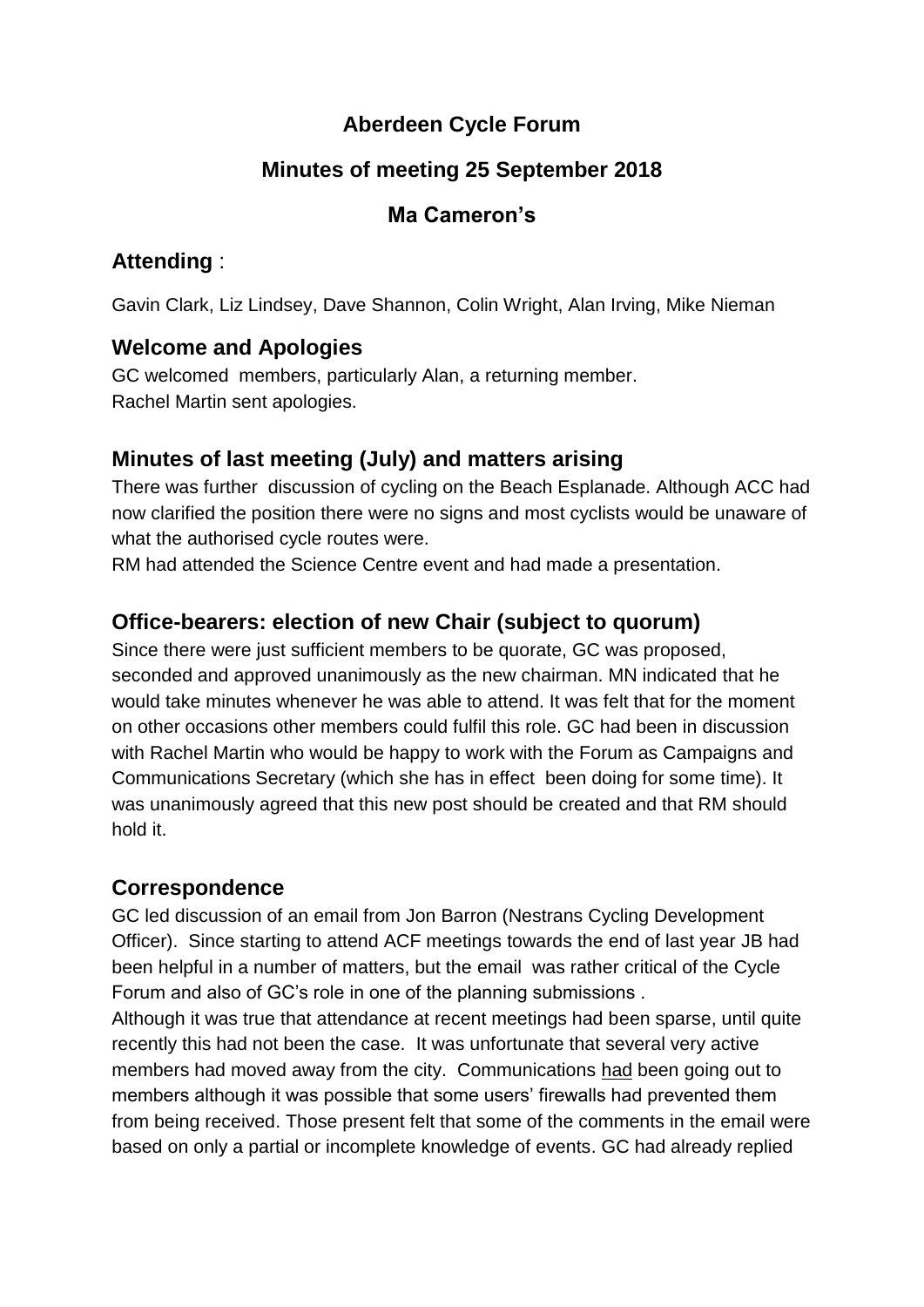## **Aberdeen Cycle Forum**

## **Minutes of meeting 25 September 2018**

## **Ma Cameron's**

## **Attending** :

Gavin Clark, Liz Lindsey, Dave Shannon, Colin Wright, Alan Irving, Mike Nieman

## **Welcome and Apologies**

GC welcomed members, particularly Alan, a returning member. Rachel Martin sent apologies.

## **Minutes of last meeting (July) and matters arising**

There was further discussion of cycling on the Beach Esplanade. Although ACC had now clarified the position there were no signs and most cyclists would be unaware of what the authorised cycle routes were.

RM had attended the Science Centre event and had made a presentation.

## **Office-bearers: election of new Chair (subject to quorum)**

Since there were just sufficient members to be quorate, GC was proposed, seconded and approved unanimously as the new chairman. MN indicated that he would take minutes whenever he was able to attend. It was felt that for the moment on other occasions other members could fulfil this role. GC had been in discussion with Rachel Martin who would be happy to work with the Forum as Campaigns and Communications Secretary (which she has in effect been doing for some time). It was unanimously agreed that this new post should be created and that RM should hold it.

#### **Correspondence**

GC led discussion of an email from Jon Barron (Nestrans Cycling Development Officer). Since starting to attend ACF meetings towards the end of last year JB had been helpful in a number of matters, but the email was rather critical of the Cycle Forum and also of GC's role in one of the planning submissions .

Although it was true that attendance at recent meetings had been sparse, until quite recently this had not been the case. It was unfortunate that several very active members had moved away from the city. Communications had been going out to members although it was possible that some users' firewalls had prevented them from being received. Those present felt that some of the comments in the email were based on only a partial or incomplete knowledge of events. GC had already replied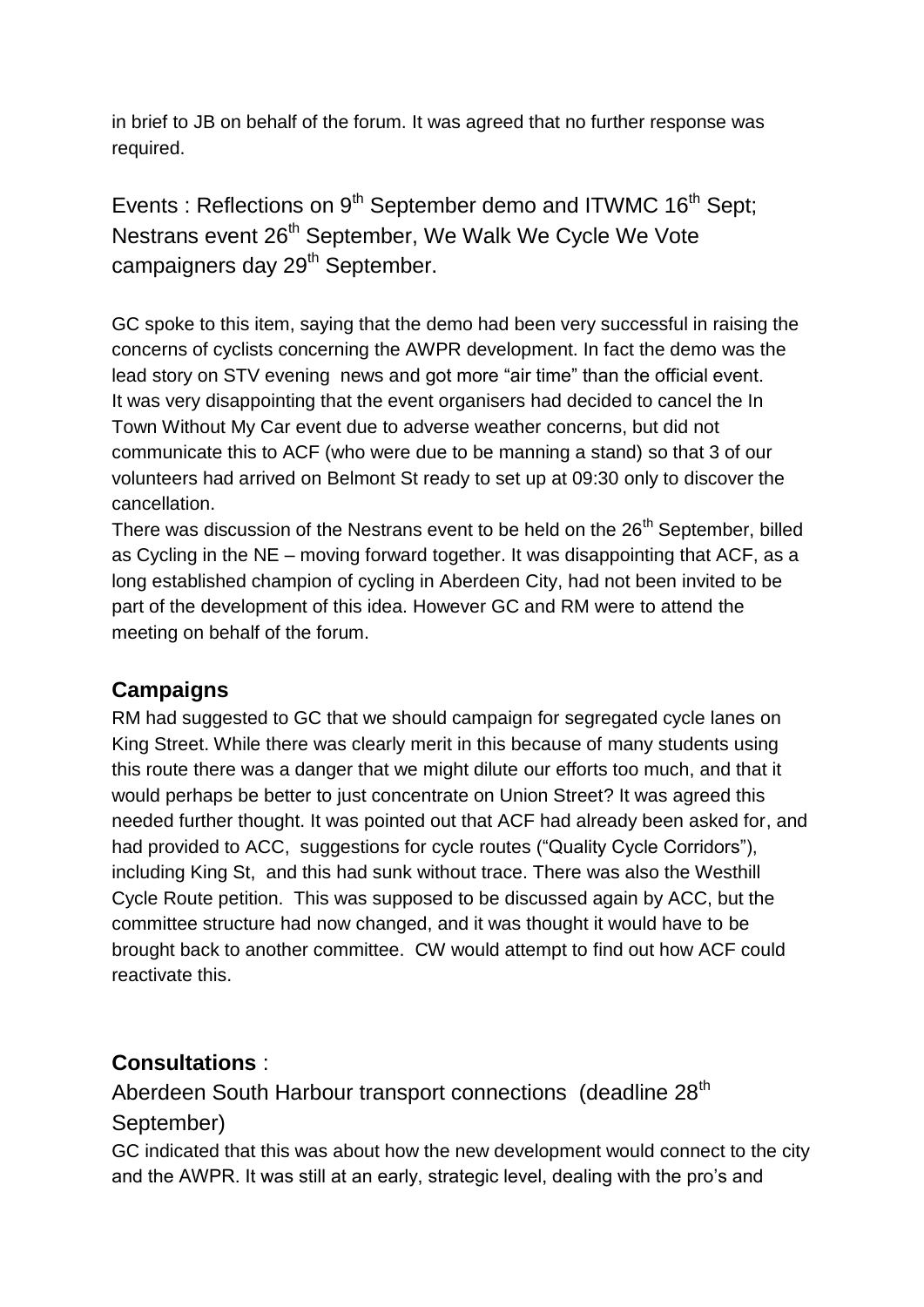in brief to JB on behalf of the forum. It was agreed that no further response was required.

Events : Reflections on 9<sup>th</sup> September demo and ITWMC 16<sup>th</sup> Sept; Nestrans event 26<sup>th</sup> September, We Walk We Cycle We Vote campaigners day 29<sup>th</sup> September.

GC spoke to this item, saying that the demo had been very successful in raising the concerns of cyclists concerning the AWPR development. In fact the demo was the lead story on STV evening news and got more "air time" than the official event. It was very disappointing that the event organisers had decided to cancel the In Town Without My Car event due to adverse weather concerns, but did not communicate this to ACF (who were due to be manning a stand) so that 3 of our volunteers had arrived on Belmont St ready to set up at 09:30 only to discover the cancellation.

There was discussion of the Nestrans event to be held on the  $26<sup>th</sup>$  September, billed as Cycling in the NE – moving forward together. It was disappointing that ACF, as a long established champion of cycling in Aberdeen City, had not been invited to be part of the development of this idea. However GC and RM were to attend the meeting on behalf of the forum.

#### **Campaigns**

RM had suggested to GC that we should campaign for segregated cycle lanes on King Street. While there was clearly merit in this because of many students using this route there was a danger that we might dilute our efforts too much, and that it would perhaps be better to just concentrate on Union Street? It was agreed this needed further thought. It was pointed out that ACF had already been asked for, and had provided to ACC, suggestions for cycle routes ("Quality Cycle Corridors"), including King St, and this had sunk without trace. There was also the Westhill Cycle Route petition. This was supposed to be discussed again by ACC, but the committee structure had now changed, and it was thought it would have to be brought back to another committee. CW would attempt to find out how ACF could reactivate this.

#### **Consultations** :

Aberdeen South Harbour transport connections (deadline 28<sup>th</sup>) September)

GC indicated that this was about how the new development would connect to the city and the AWPR. It was still at an early, strategic level, dealing with the pro's and